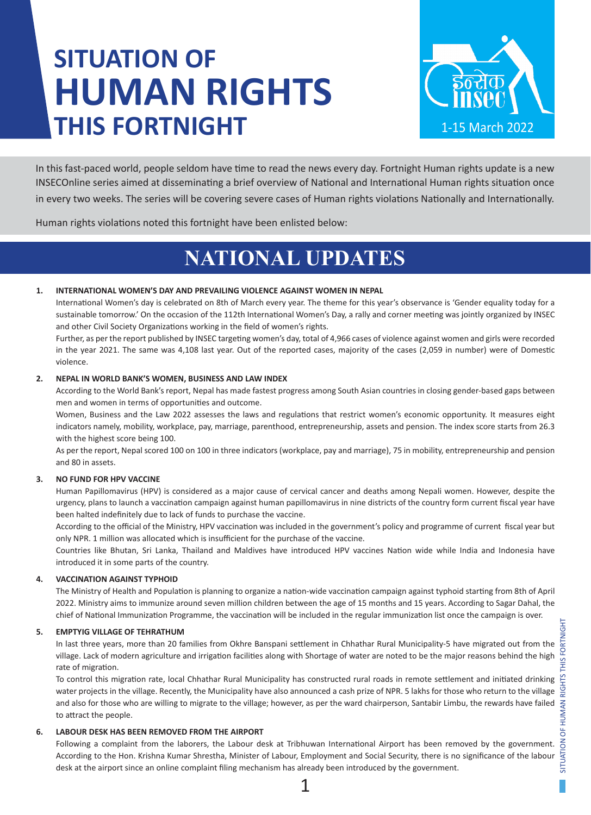# **SITUATION OF HUMAN RIGHTS THIS FORTNIGHT**



In this fast-paced world, people seldom have time to read the news every day. Fortnight Human rights update is a new INSECOnline series aimed at disseminating a brief overview of National and International Human rights situation once in every two weeks. The series will be covering severe cases of Human rights violations Nationally and Internationally.

Human rights violations noted this fortnight have been enlisted below:

# **NATIONAL UPDATES**

# **1. INTERNATIONAL WOMEN'S DAY AND PREVAILING VIOLENCE AGAINST WOMEN IN NEPAL**

International Women's day is celebrated on 8th of March every year. The theme for this year's observance is 'Gender equality today for a sustainable tomorrow.' On the occasion of the 112th International Women's Day, a rally and corner meeting was jointly organized by INSEC and other Civil Society Organizations working in the field of women's rights.

Further, as per the report published by INSEC targeting women's day, total of 4,966 cases of violence against women and girls were recorded in the year 2021. The same was 4,108 last year. Out of the reported cases, majority of the cases (2,059 in number) were of Domestic violence.

### **2. NEPAL IN WORLD BANK'S WOMEN, BUSINESS AND LAW INDEX**

According to the World Bank's report, Nepal has made fastest progress among South Asian countries in closing gender-based gaps between men and women in terms of opportunities and outcome.

Women, Business and the Law 2022 assesses the laws and regulations that restrict women's economic opportunity. It measures eight indicators namely, mobility, workplace, pay, marriage, parenthood, entrepreneurship, assets and pension. The index score starts from 26.3 with the highest score being 100.

As per the report, Nepal scored 100 on 100 in three indicators (workplace, pay and marriage), 75 in mobility, entrepreneurship and pension and 80 in assets.

# **3. NO FUND FOR HPV VACCINE**

Human Papillomavirus (HPV) is considered as a major cause of cervical cancer and deaths among Nepali women. However, despite the urgency, plans to launch a vaccination campaign against human papillomavirus in nine districts of the country form current fiscal year have been halted indefinitely due to lack of funds to purchase the vaccine.

According to the official of the Ministry, HPV vaccination was included in the government's policy and programme of current fiscal year but only NPR. 1 million was allocated which is insufficient for the purchase of the vaccine.

Countries like Bhutan, Sri Lanka, Thailand and Maldives have introduced HPV vaccines Nation wide while India and Indonesia have introduced it in some parts of the country.

# **4. VACCINATION AGAINST TYPHOID**

The Ministry of Health and Population is planning to organize a nation-wide vaccination campaign against typhoid starting from 8th of April 2022. Ministry aims to immunize around seven million children between the age of 15 months and 15 years. According to Sagar Dahal, the chief of National Immunization Programme, the vaccination will be included in the regular immunization list once the campaign is over.

### **5. EMPTYIG VILLAGE OF TEHRATHUM**

In last three years, more than 20 families from Okhre Banspani settlement in Chhathar Rural Municipality-5 have migrated out from the village. Lack of modern agriculture and irrigation facilities along with Shortage of water are noted to be the major reasons behind the high rate of migration.

To control this migration rate, local Chhathar Rural Municipality has constructed rural roads in remote settlement and initiated drinking water projects in the village. Recently, the Municipality have also announced a cash prize of NPR. 5 lakhs for those who return to the village and also for those who are willing to migrate to the village; however, as per the ward chairperson, Santabir Limbu, the rewards have failed to attract the people.

# **6. LABOUR DESK HAS BEEN REMOVED FROM THE AIRPORT**

Following a complaint from the laborers, the Labour desk at Tribhuwan International Airport has been removed by the government. According to the Hon. Krishna Kumar Shrestha, Minister of Labour, Employment and Social Security, there is no significance of the labour desk at the airport since an online complaint filing mechanism has already been introduced by the government.

1